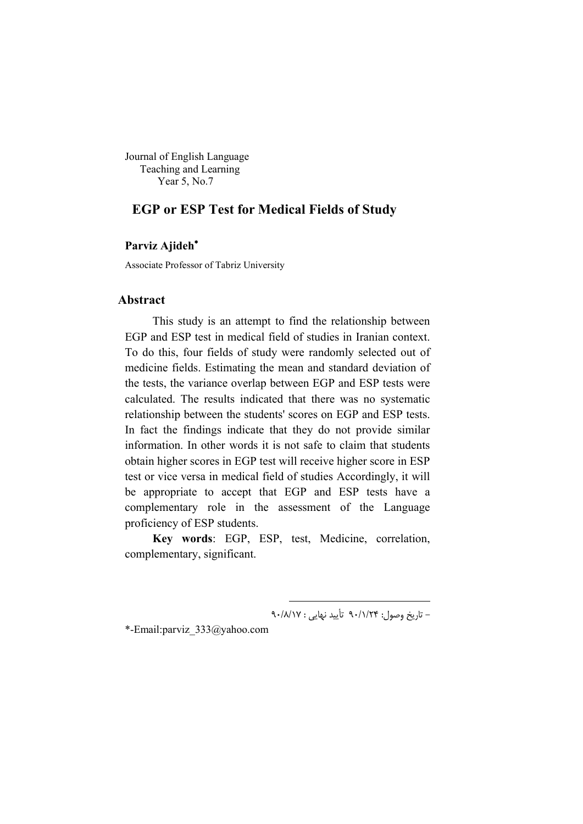Journal of English Language Teaching and Learning Year 5, No.7

# **EGP or ESP Test for Medical Fields of Study**

# **Parviz Ajideh**

Associate Professor of Tabriz University

# **Abstract**

This study is an attempt to find the relationship between EGP and ESP test in medical field of studies in Iranian context. To do this, four fields of study were randomly selected out of medicine fields. Estimating the mean and standard deviation of the tests, the variance overlap between EGP and ESP tests were calculated. The results indicated that there was no systematic relationship between the students' scores on EGP and ESP tests. In fact the findings indicate that they do not provide similar information. In other words it is not safe to claim that students obtain higher scores in EGP test will receive higher score in ESP test or vice versa in medical field of studies Accordingly, it will be appropriate to accept that EGP and ESP tests have a complementary role in the assessment of the Language proficiency of ESP students.

**Key words**: EGP, ESP, test, Medicine, correlation, complementary, significant.

1

- تاریخ وصول: 24 /1/ 90 تأیید نهایی : 17 /8/ 90

\*-Email:parviz\_333@yahoo.com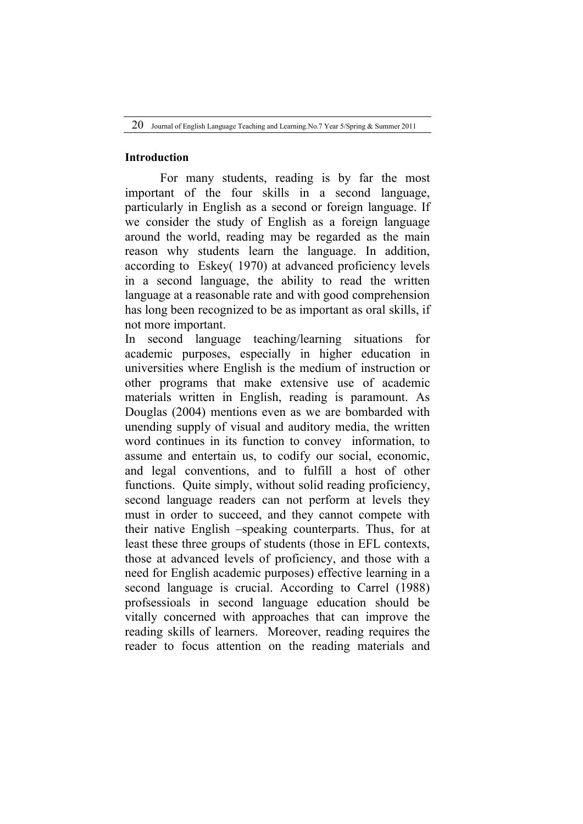#### **Introduction**

For many students, reading is by far the most important of the four skills in a second language, particularly in English as a second or foreign language. If we consider the study of English as a foreign language around the world, reading may be regarded as the main reason why students learn the language. In addition, according to Eskey( 1970) at advanced proficiency levels in a second language, the ability to read the written language at a reasonable rate and with good comprehension has long been recognized to be as important as oral skills, if not more important.

In second language teaching/learning situations for academic purposes, especially in higher education in universities where English is the medium of instruction or other programs that make extensive use of academic materials written in English, reading is paramount. As Douglas (2004) mentions even as we are bombarded with unending supply of visual and auditory media, the written word continues in its function to convey information, to assume and entertain us, to codify our social, economic, and legal conventions, and to fulfill a host of other functions. Quite simply, without solid reading proficiency, second language readers can not perform at levels they must in order to succeed, and they cannot compete with their native English –speaking counterparts. Thus, for at least these three groups of students (those in EFL contexts, those at advanced levels of proficiency, and those with a need for English academic purposes) effective learning in a second language is crucial. According to Carrel (1988) profsessioals in second language education should be vitally concerned with approaches that can improve the reading skills of learners. Moreover, reading requires the reader to focus attention on the reading materials and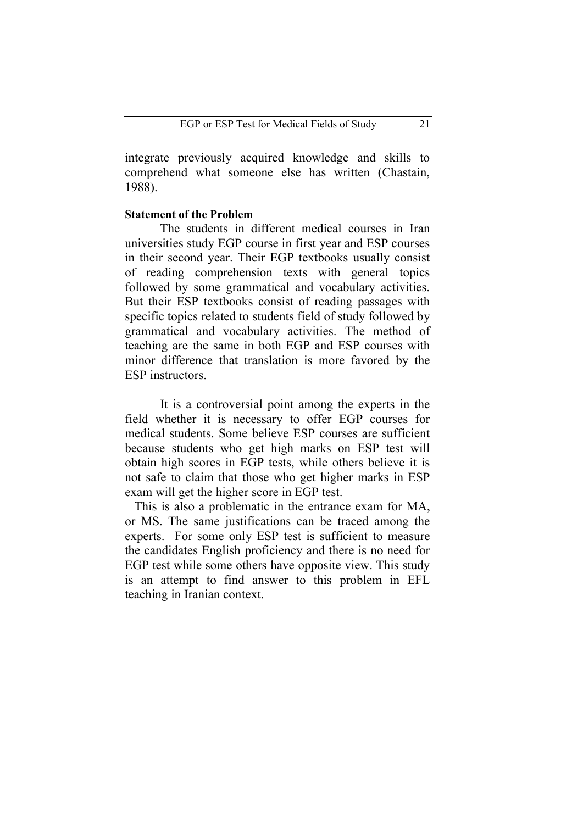integrate previously acquired knowledge and skills to comprehend what someone else has written (Chastain, 1988).

#### **Statement of the Problem**

The students in different medical courses in Iran universities study EGP course in first year and ESP courses in their second year. Their EGP textbooks usually consist of reading comprehension texts with general topics followed by some grammatical and vocabulary activities. But their ESP textbooks consist of reading passages with specific topics related to students field of study followed by grammatical and vocabulary activities. The method of teaching are the same in both EGP and ESP courses with minor difference that translation is more favored by the ESP instructors.

 It is a controversial point among the experts in the field whether it is necessary to offer EGP courses for medical students. Some believe ESP courses are sufficient because students who get high marks on ESP test will obtain high scores in EGP tests, while others believe it is not safe to claim that those who get higher marks in ESP exam will get the higher score in EGP test.

 This is also a problematic in the entrance exam for MA, or MS. The same justifications can be traced among the experts. For some only ESP test is sufficient to measure the candidates English proficiency and there is no need for EGP test while some others have opposite view. This study is an attempt to find answer to this problem in EFL teaching in Iranian context.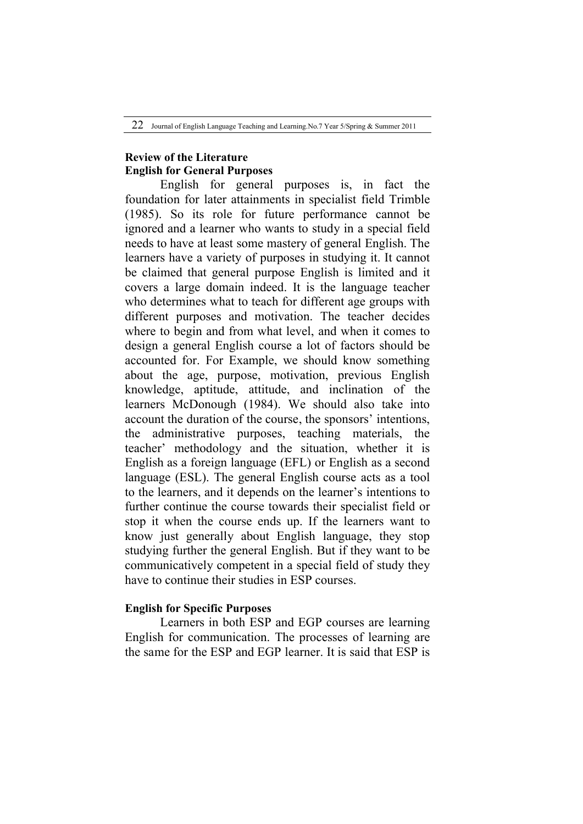# **Review of the Literature English for General Purposes**

English for general purposes is, in fact the foundation for later attainments in specialist field Trimble (1985). So its role for future performance cannot be ignored and a learner who wants to study in a special field needs to have at least some mastery of general English. The learners have a variety of purposes in studying it. It cannot be claimed that general purpose English is limited and it covers a large domain indeed. It is the language teacher who determines what to teach for different age groups with different purposes and motivation. The teacher decides where to begin and from what level, and when it comes to design a general English course a lot of factors should be accounted for. For Example, we should know something about the age, purpose, motivation, previous English knowledge, aptitude, attitude, and inclination of the learners McDonough (1984). We should also take into account the duration of the course, the sponsors' intentions, the administrative purposes, teaching materials, the teacher' methodology and the situation, whether it is English as a foreign language (EFL) or English as a second language (ESL). The general English course acts as a tool to the learners, and it depends on the learner's intentions to further continue the course towards their specialist field or stop it when the course ends up. If the learners want to know just generally about English language, they stop studying further the general English. But if they want to be communicatively competent in a special field of study they have to continue their studies in ESP courses.

# **English for Specific Purposes**

Learners in both ESP and EGP courses are learning English for communication. The processes of learning are the same for the ESP and EGP learner. It is said that ESP is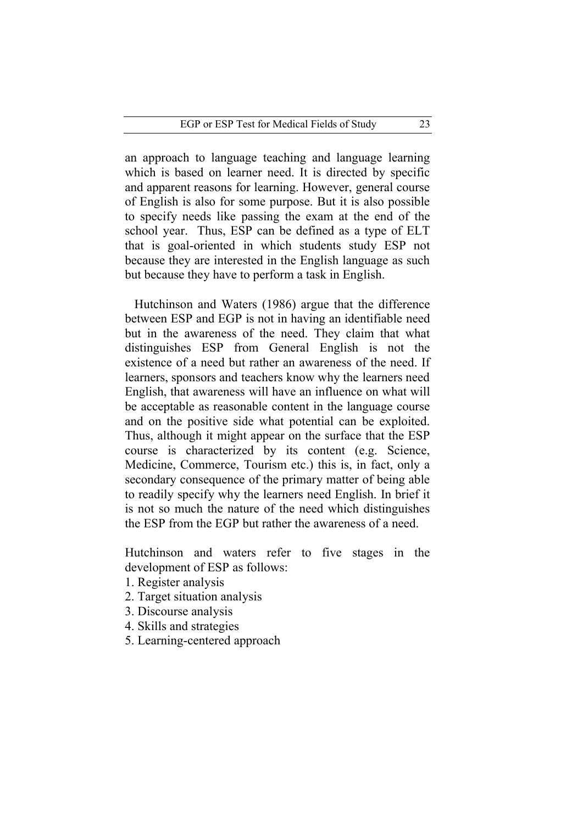an approach to language teaching and language learning which is based on learner need. It is directed by specific and apparent reasons for learning. However, general course of English is also for some purpose. But it is also possible to specify needs like passing the exam at the end of the school year. Thus, ESP can be defined as a type of ELT that is goal-oriented in which students study ESP not because they are interested in the English language as such but because they have to perform a task in English.

 Hutchinson and Waters (1986) argue that the difference between ESP and EGP is not in having an identifiable need but in the awareness of the need. They claim that what distinguishes ESP from General English is not the existence of a need but rather an awareness of the need. If learners, sponsors and teachers know why the learners need English, that awareness will have an influence on what will be acceptable as reasonable content in the language course and on the positive side what potential can be exploited. Thus, although it might appear on the surface that the ESP course is characterized by its content (e.g. Science, Medicine, Commerce, Tourism etc.) this is, in fact, only a secondary consequence of the primary matter of being able to readily specify why the learners need English. In brief it is not so much the nature of the need which distinguishes the ESP from the EGP but rather the awareness of a need.

Hutchinson and waters refer to five stages in the development of ESP as follows:

- 1. Register analysis
- 2. Target situation analysis
- 3. Discourse analysis
- 4. Skills and strategies
- 5. Learning-centered approach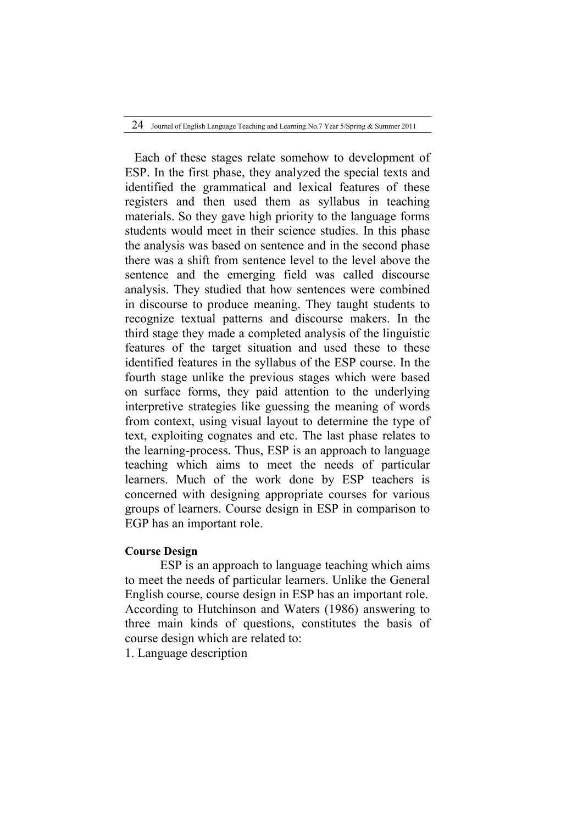Each of these stages relate somehow to development of ESP. In the first phase, they analyzed the special texts and identified the grammatical and lexical features of these registers and then used them as syllabus in teaching materials. So they gave high priority to the language forms students would meet in their science studies. In this phase the analysis was based on sentence and in the second phase there was a shift from sentence level to the level above the sentence and the emerging field was called discourse analysis. They studied that how sentences were combined in discourse to produce meaning. They taught students to recognize textual patterns and discourse makers. In the third stage they made a completed analysis of the linguistic features of the target situation and used these to these identified features in the syllabus of the ESP course. In the fourth stage unlike the previous stages which were based on surface forms, they paid attention to the underlying interpretive strategies like guessing the meaning of words from context, using visual layout to determine the type of text, exploiting cognates and etc. The last phase relates to the learning-process. Thus, ESP is an approach to language teaching which aims to meet the needs of particular learners. Much of the work done by ESP teachers is concerned with designing appropriate courses for various groups of learners. Course design in ESP in comparison to EGP has an important role.

# **Course Design**

 ESP is an approach to language teaching which aims to meet the needs of particular learners. Unlike the General English course, course design in ESP has an important role. According to Hutchinson and Waters (1986) answering to three main kinds of questions, constitutes the basis of course design which are related to:

1. Language description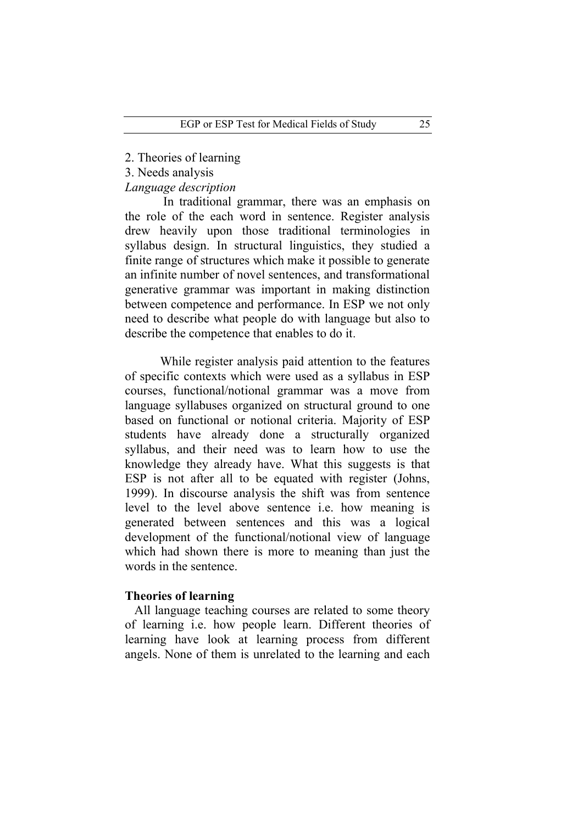2. Theories of learning

3. Needs analysis

*Language description* 

In traditional grammar, there was an emphasis on the role of the each word in sentence. Register analysis drew heavily upon those traditional terminologies in syllabus design. In structural linguistics, they studied a finite range of structures which make it possible to generate an infinite number of novel sentences, and transformational generative grammar was important in making distinction between competence and performance. In ESP we not only need to describe what people do with language but also to describe the competence that enables to do it.

 While register analysis paid attention to the features of specific contexts which were used as a syllabus in ESP courses, functional/notional grammar was a move from language syllabuses organized on structural ground to one based on functional or notional criteria. Majority of ESP students have already done a structurally organized syllabus, and their need was to learn how to use the knowledge they already have. What this suggests is that ESP is not after all to be equated with register (Johns, 1999). In discourse analysis the shift was from sentence level to the level above sentence i.e. how meaning is generated between sentences and this was a logical development of the functional/notional view of language which had shown there is more to meaning than just the words in the sentence.

# **Theories of learning**

 All language teaching courses are related to some theory of learning i.e. how people learn. Different theories of learning have look at learning process from different angels. None of them is unrelated to the learning and each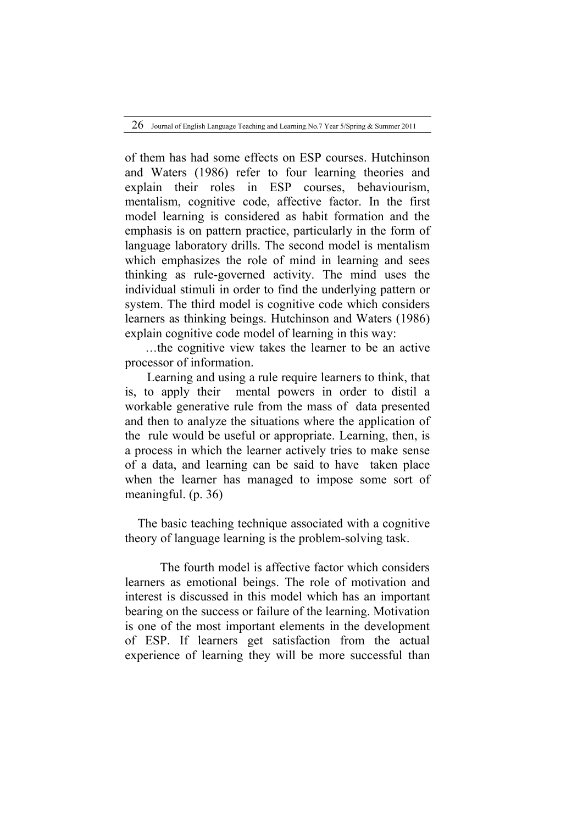of them has had some effects on ESP courses. Hutchinson and Waters (1986) refer to four learning theories and explain their roles in ESP courses, behaviourism, mentalism, cognitive code, affective factor. In the first model learning is considered as habit formation and the emphasis is on pattern practice, particularly in the form of language laboratory drills. The second model is mentalism which emphasizes the role of mind in learning and sees thinking as rule-governed activity. The mind uses the individual stimuli in order to find the underlying pattern or system. The third model is cognitive code which considers learners as thinking beings. Hutchinson and Waters (1986) explain cognitive code model of learning in this way:

 …the cognitive view takes the learner to be an active processor of information.

 Learning and using a rule require learners to think, that is, to apply their mental powers in order to distil a workable generative rule from the mass of data presented and then to analyze the situations where the application of the rule would be useful or appropriate. Learning, then, is a process in which the learner actively tries to make sense of a data, and learning can be said to have taken place when the learner has managed to impose some sort of meaningful. (p. 36)

 The basic teaching technique associated with a cognitive theory of language learning is the problem-solving task.

The fourth model is affective factor which considers learners as emotional beings. The role of motivation and interest is discussed in this model which has an important bearing on the success or failure of the learning. Motivation is one of the most important elements in the development of ESP. If learners get satisfaction from the actual experience of learning they will be more successful than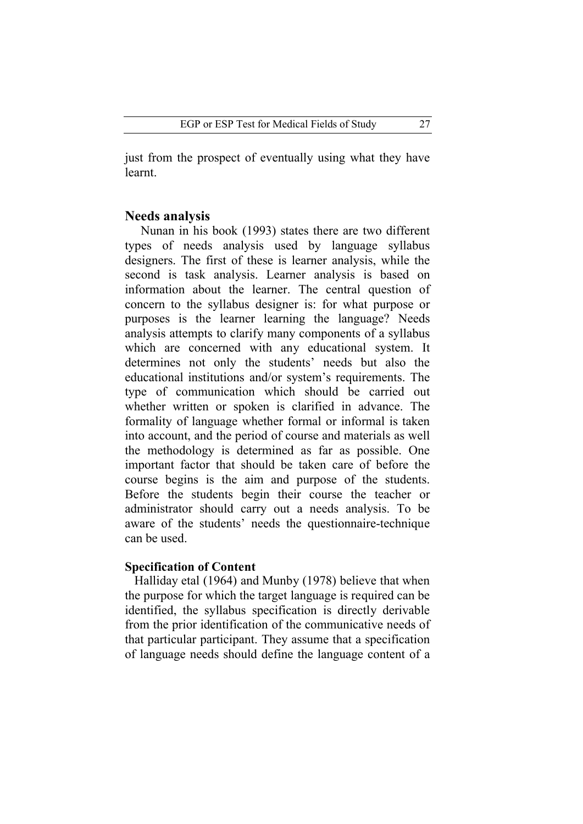just from the prospect of eventually using what they have learnt.

#### **Needs analysis**

 Nunan in his book (1993) states there are two different types of needs analysis used by language syllabus designers. The first of these is learner analysis, while the second is task analysis. Learner analysis is based on information about the learner. The central question of concern to the syllabus designer is: for what purpose or purposes is the learner learning the language? Needs analysis attempts to clarify many components of a syllabus which are concerned with any educational system. It determines not only the students' needs but also the educational institutions and/or system's requirements. The type of communication which should be carried out whether written or spoken is clarified in advance. The formality of language whether formal or informal is taken into account, and the period of course and materials as well the methodology is determined as far as possible. One important factor that should be taken care of before the course begins is the aim and purpose of the students. Before the students begin their course the teacher or administrator should carry out a needs analysis. To be aware of the students' needs the questionnaire-technique can be used.

# **Specification of Content**

 Halliday etal (1964) and Munby (1978) believe that when the purpose for which the target language is required can be identified, the syllabus specification is directly derivable from the prior identification of the communicative needs of that particular participant. They assume that a specification of language needs should define the language content of a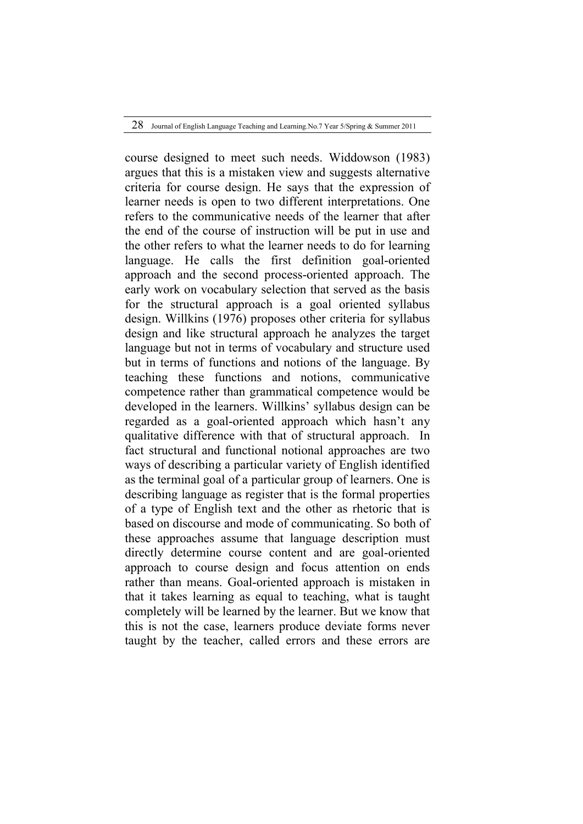course designed to meet such needs. Widdowson (1983) argues that this is a mistaken view and suggests alternative criteria for course design. He says that the expression of learner needs is open to two different interpretations. One refers to the communicative needs of the learner that after the end of the course of instruction will be put in use and the other refers to what the learner needs to do for learning language. He calls the first definition goal-oriented approach and the second process-oriented approach. The early work on vocabulary selection that served as the basis for the structural approach is a goal oriented syllabus design. Willkins (1976) proposes other criteria for syllabus design and like structural approach he analyzes the target language but not in terms of vocabulary and structure used but in terms of functions and notions of the language. By teaching these functions and notions, communicative competence rather than grammatical competence would be developed in the learners. Willkins' syllabus design can be regarded as a goal-oriented approach which hasn't any qualitative difference with that of structural approach. In fact structural and functional notional approaches are two ways of describing a particular variety of English identified as the terminal goal of a particular group of learners. One is describing language as register that is the formal properties of a type of English text and the other as rhetoric that is based on discourse and mode of communicating. So both of these approaches assume that language description must directly determine course content and are goal-oriented approach to course design and focus attention on ends rather than means. Goal-oriented approach is mistaken in that it takes learning as equal to teaching, what is taught completely will be learned by the learner. But we know that this is not the case, learners produce deviate forms never taught by the teacher, called errors and these errors are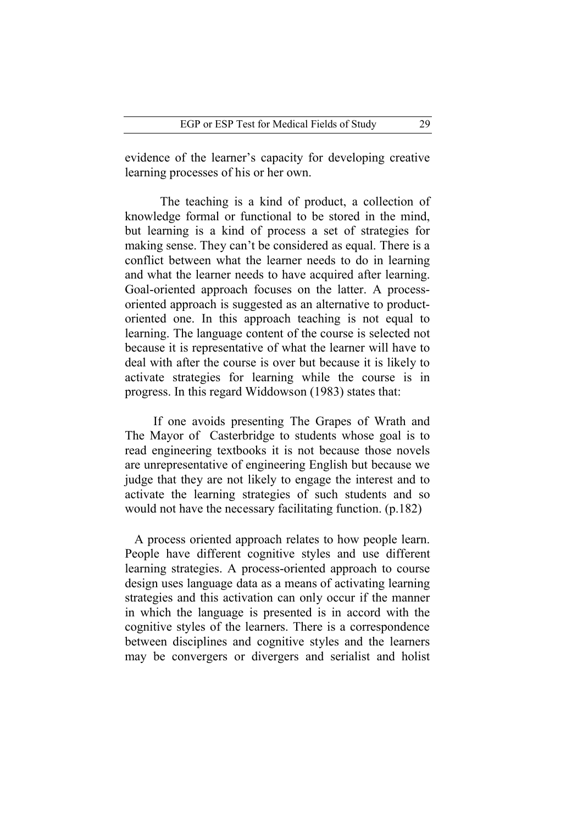evidence of the learner's capacity for developing creative learning processes of his or her own.

The teaching is a kind of product, a collection of knowledge formal or functional to be stored in the mind, but learning is a kind of process a set of strategies for making sense. They can't be considered as equal. There is a conflict between what the learner needs to do in learning and what the learner needs to have acquired after learning. Goal-oriented approach focuses on the latter. A processoriented approach is suggested as an alternative to productoriented one. In this approach teaching is not equal to learning. The language content of the course is selected not because it is representative of what the learner will have to deal with after the course is over but because it is likely to activate strategies for learning while the course is in progress. In this regard Widdowson (1983) states that:

 If one avoids presenting The Grapes of Wrath and The Mayor of Casterbridge to students whose goal is to read engineering textbooks it is not because those novels are unrepresentative of engineering English but because we judge that they are not likely to engage the interest and to activate the learning strategies of such students and so would not have the necessary facilitating function. (p.182)

 A process oriented approach relates to how people learn. People have different cognitive styles and use different learning strategies. A process-oriented approach to course design uses language data as a means of activating learning strategies and this activation can only occur if the manner in which the language is presented is in accord with the cognitive styles of the learners. There is a correspondence between disciplines and cognitive styles and the learners may be convergers or divergers and serialist and holist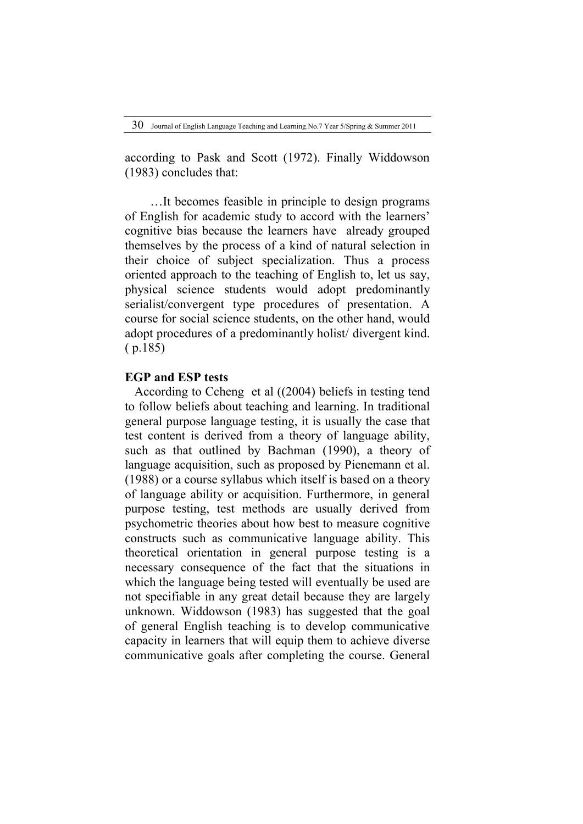according to Pask and Scott (1972). Finally Widdowson (1983) concludes that:

 …It becomes feasible in principle to design programs of English for academic study to accord with the learners' cognitive bias because the learners have already grouped themselves by the process of a kind of natural selection in their choice of subject specialization. Thus a process oriented approach to the teaching of English to, let us say, physical science students would adopt predominantly serialist/convergent type procedures of presentation. A course for social science students, on the other hand, would adopt procedures of a predominantly holist/ divergent kind. ( p.185)

# **EGP and ESP tests**

 According to Ccheng et al ((2004) beliefs in testing tend to follow beliefs about teaching and learning. In traditional general purpose language testing, it is usually the case that test content is derived from a theory of language ability, such as that outlined by Bachman (1990), a theory of language acquisition, such as proposed by Pienemann et al. (1988) or a course syllabus which itself is based on a theory of language ability or acquisition. Furthermore, in general purpose testing, test methods are usually derived from psychometric theories about how best to measure cognitive constructs such as communicative language ability. This theoretical orientation in general purpose testing is a necessary consequence of the fact that the situations in which the language being tested will eventually be used are not specifiable in any great detail because they are largely unknown. Widdowson (1983) has suggested that the goal of general English teaching is to develop communicative capacity in learners that will equip them to achieve diverse communicative goals after completing the course. General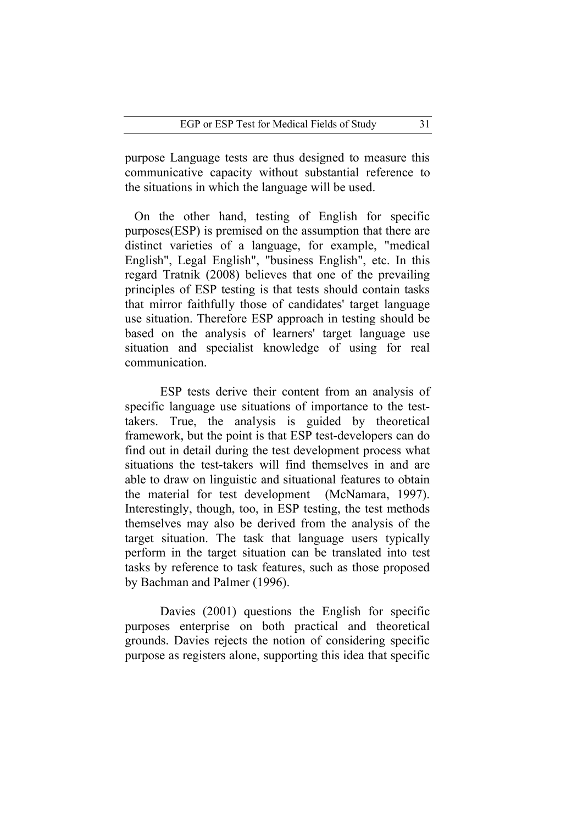purpose Language tests are thus designed to measure this communicative capacity without substantial reference to the situations in which the language will be used.

 On the other hand, testing of English for specific purposes(ESP) is premised on the assumption that there are distinct varieties of a language, for example, "medical English", Legal English", "business English", etc. In this regard Tratnik (2008) believes that one of the prevailing principles of ESP testing is that tests should contain tasks that mirror faithfully those of candidates' target language use situation. Therefore ESP approach in testing should be based on the analysis of learners' target language use situation and specialist knowledge of using for real communication.

ESP tests derive their content from an analysis of specific language use situations of importance to the testtakers. True, the analysis is guided by theoretical framework, but the point is that ESP test-developers can do find out in detail during the test development process what situations the test-takers will find themselves in and are able to draw on linguistic and situational features to obtain the material for test development (McNamara, 1997). Interestingly, though, too, in ESP testing, the test methods themselves may also be derived from the analysis of the target situation. The task that language users typically perform in the target situation can be translated into test tasks by reference to task features, such as those proposed by Bachman and Palmer (1996).

Davies (2001) questions the English for specific purposes enterprise on both practical and theoretical grounds. Davies rejects the notion of considering specific purpose as registers alone, supporting this idea that specific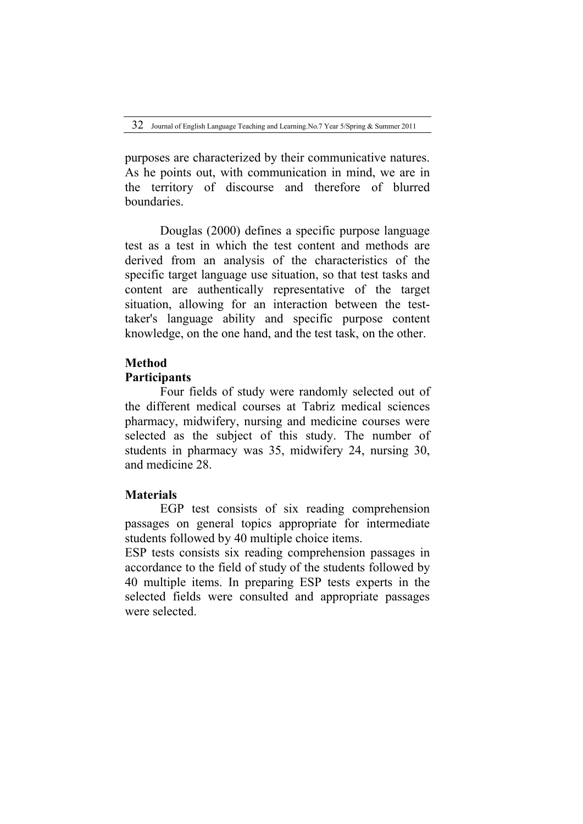purposes are characterized by their communicative natures. As he points out, with communication in mind, we are in the territory of discourse and therefore of blurred boundaries.

Douglas (2000) defines a specific purpose language test as a test in which the test content and methods are derived from an analysis of the characteristics of the specific target language use situation, so that test tasks and content are authentically representative of the target situation, allowing for an interaction between the testtaker's language ability and specific purpose content knowledge, on the one hand, and the test task, on the other.

# **Method**

#### **Participants**

Four fields of study were randomly selected out of the different medical courses at Tabriz medical sciences pharmacy, midwifery, nursing and medicine courses were selected as the subject of this study. The number of students in pharmacy was 35, midwifery 24, nursing 30, and medicine 28.

# **Materials**

EGP test consists of six reading comprehension passages on general topics appropriate for intermediate students followed by 40 multiple choice items.

ESP tests consists six reading comprehension passages in accordance to the field of study of the students followed by 40 multiple items. In preparing ESP tests experts in the selected fields were consulted and appropriate passages were selected.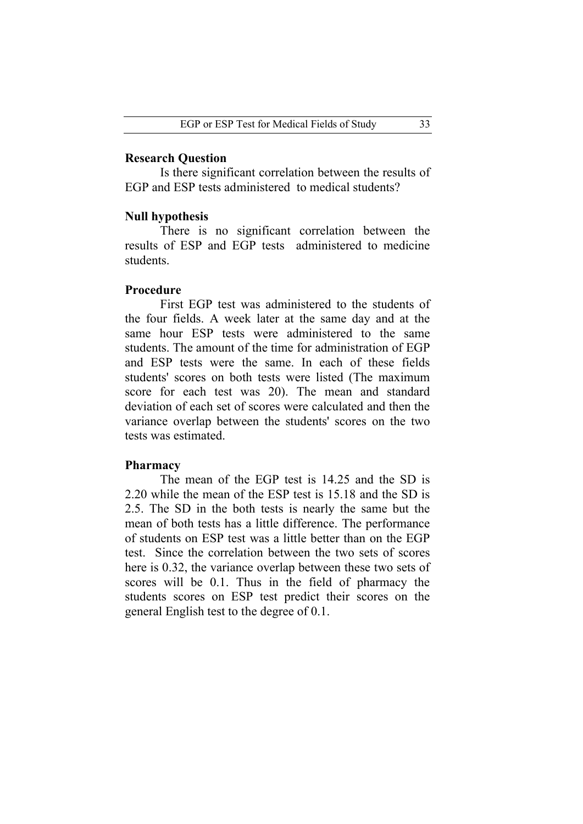## **Research Question**

Is there significant correlation between the results of EGP and ESP tests administered to medical students?

#### **Null hypothesis**

There is no significant correlation between the results of ESP and EGP tests administered to medicine students.

# **Procedure**

First EGP test was administered to the students of the four fields. A week later at the same day and at the same hour ESP tests were administered to the same students. The amount of the time for administration of EGP and ESP tests were the same. In each of these fields students' scores on both tests were listed (The maximum score for each test was 20). The mean and standard deviation of each set of scores were calculated and then the variance overlap between the students' scores on the two tests was estimated.

### **Pharmacy**

 The mean of the EGP test is 14.25 and the SD is 2.20 while the mean of the ESP test is 15.18 and the SD is 2.5. The SD in the both tests is nearly the same but the mean of both tests has a little difference. The performance of students on ESP test was a little better than on the EGP test. Since the correlation between the two sets of scores here is 0.32, the variance overlap between these two sets of scores will be 0.1. Thus in the field of pharmacy the students scores on ESP test predict their scores on the general English test to the degree of 0.1.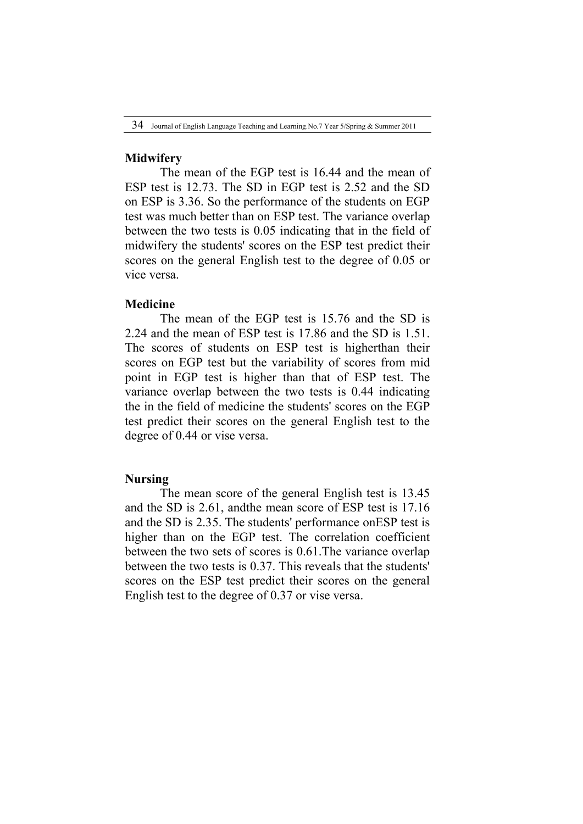#### **Midwifery**

The mean of the EGP test is 16.44 and the mean of ESP test is 12.73. The SD in EGP test is 2.52 and the SD on ESP is 3.36. So the performance of the students on EGP test was much better than on ESP test. The variance overlap between the two tests is 0.05 indicating that in the field of midwifery the students' scores on the ESP test predict their scores on the general English test to the degree of 0.05 or vice versa.

# **Medicine**

The mean of the EGP test is 15.76 and the SD is 2.24 and the mean of ESP test is 17.86 and the SD is 1.51. The scores of students on ESP test is higherthan their scores on EGP test but the variability of scores from mid point in EGP test is higher than that of ESP test. The variance overlap between the two tests is 0.44 indicating the in the field of medicine the students' scores on the EGP test predict their scores on the general English test to the degree of 0.44 or vise versa.

# **Nursing**

The mean score of the general English test is 13.45 and the SD is 2.61, andthe mean score of ESP test is 17.16 and the SD is 2.35. The students' performance onESP test is higher than on the EGP test. The correlation coefficient between the two sets of scores is 0.61.The variance overlap between the two tests is 0.37. This reveals that the students' scores on the ESP test predict their scores on the general English test to the degree of 0.37 or vise versa.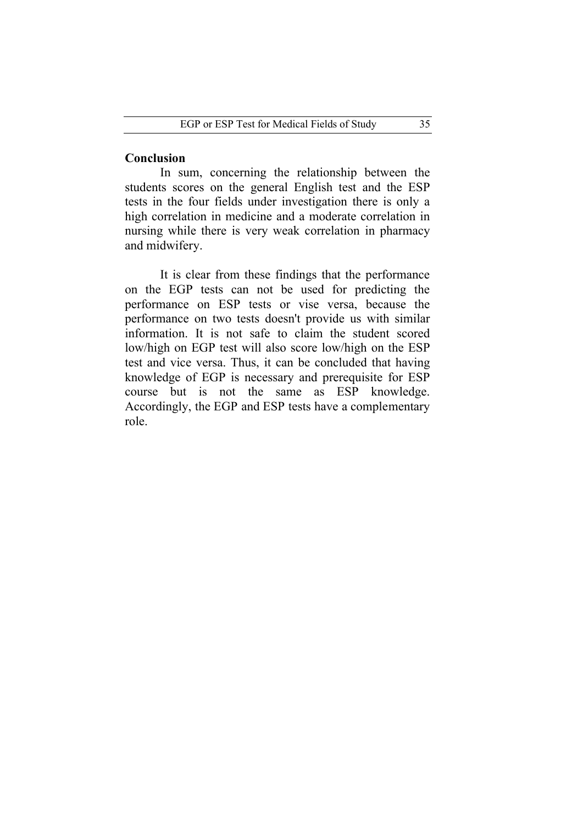# **Conclusion**

In sum, concerning the relationship between the students scores on the general English test and the ESP tests in the four fields under investigation there is only a high correlation in medicine and a moderate correlation in nursing while there is very weak correlation in pharmacy and midwifery.

It is clear from these findings that the performance on the EGP tests can not be used for predicting the performance on ESP tests or vise versa, because the performance on two tests doesn't provide us with similar information. It is not safe to claim the student scored low/high on EGP test will also score low/high on the ESP test and vice versa. Thus, it can be concluded that having knowledge of EGP is necessary and prerequisite for ESP course but is not the same as ESP knowledge. Accordingly, the EGP and ESP tests have a complementary role.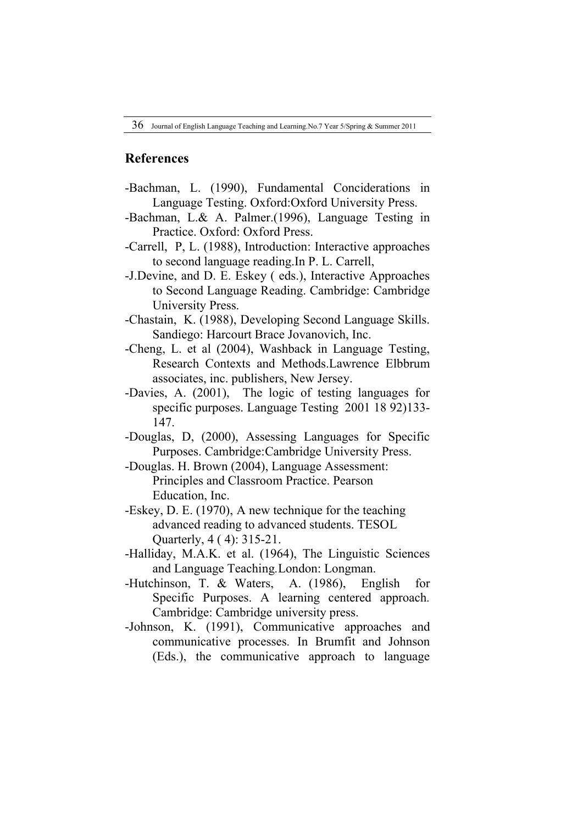# **References**

- -Bachman, L. (1990), Fundamental Conciderations in Language Testing. Oxford:Oxford University Press.
- -Bachman, L.& A. Palmer.(1996), Language Testing in Practice. Oxford: Oxford Press.
- -Carrell, P, L. (1988), Introduction: Interactive approaches to second language reading.In P. L. Carrell,
- -J.Devine, and D. E. Eskey ( eds.), Interactive Approaches to Second Language Reading. Cambridge: Cambridge University Press.
- -Chastain, K. (1988), Developing Second Language Skills. Sandiego: Harcourt Brace Jovanovich, Inc.
- -Cheng, L. et al (2004), Washback in Language Testing, Research Contexts and Methods.Lawrence Elbbrum associates, inc. publishers, New Jersey.
- -Davies, A. (2001), The logic of testing languages for specific purposes. Language Testing 2001 18 92)133- 147.
- -Douglas, D, (2000), Assessing Languages for Specific Purposes. Cambridge:Cambridge University Press.
- -Douglas. H. Brown (2004), Language Assessment: Principles and Classroom Practice. Pearson Education, Inc.
- -Eskey, D. E. (1970), A new technique for the teaching advanced reading to advanced students. TESOL Quarterly, 4 ( 4): 315-21.
- -Halliday, M.A.K. et al. (1964), The Linguistic Sciences and Language Teaching*.*London: Longman.
- -Hutchinson, T. & Waters, A. (1986), English for Specific Purposes. A learning centered approach*.*  Cambridge: Cambridge university press.
- -Johnson, K. (1991), Communicative approaches and communicative processes*.* In Brumfit and Johnson (Eds.), the communicative approach to language